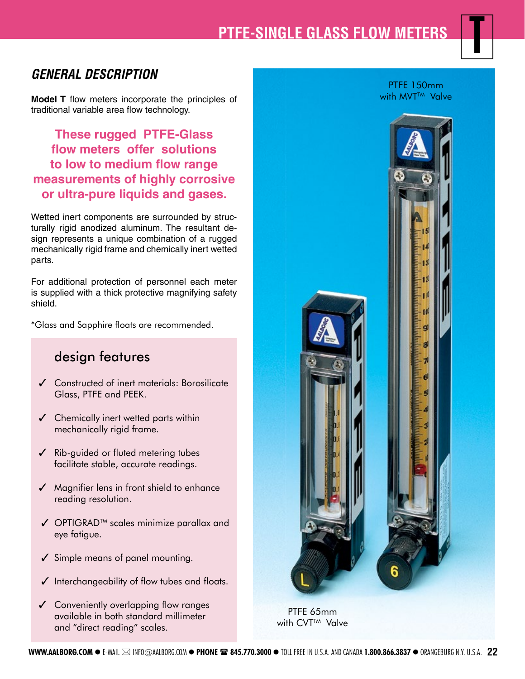# **PTFE-SINGLE GLASS FLOW METERS**

## **GENERAL DESCRIPTION**

**Model T** flow meters incorporate the principles of traditional variable area flow technology.

**These rugged PTFE-Glass flow meters offer solutions to low to medium flow range measurements of highly corrosive or ultra-pure liquids and gases.**

Wetted inert components are surrounded by structurally rigid anodized aluminum. The resultant design represents a unique combination of a rugged mechanically rigid frame and chemically inert wetted parts.

For additional protection of personnel each meter is supplied with a thick protective magnifying safety shield.

\*Glass and Sapphire floats are recommended.

# design features

- $\checkmark$  Constructed of inert materials: Borosilicate Glass, PTFE and PEEK.
- ✓ Chemically inert wetted parts within mechanically rigid frame.
- ✓ Rib-guided or fluted metering tubes facilitate stable, accurate readings.
- $\sqrt{\phantom{a}}$  Magnifier lens in front shield to enhance reading resolution.
- ✓ OPTIGRADTM scales minimize parallax and eye fatigue.
- ✓ Simple means of panel mounting.
- ✓ Interchangeability of flow tubes and floats.
- ✓ Conveniently overlapping flow ranges available in both standard millimeter and "direct reading" scales.



PTFE 150mm with MVT<sup>TM</sup> Valve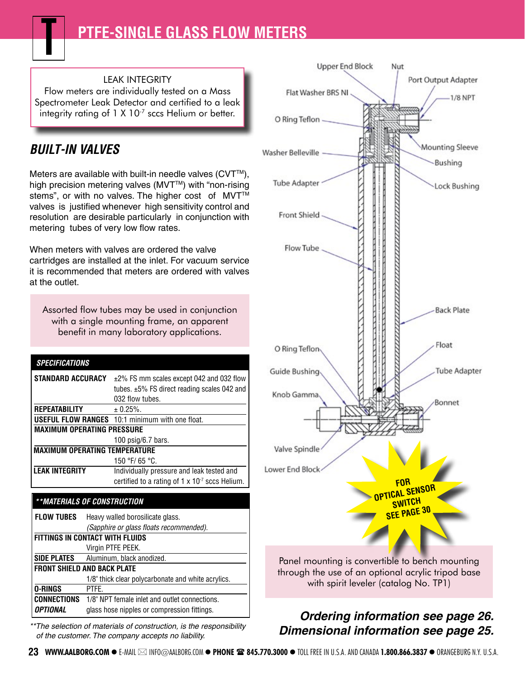### LEAK INTEGRITY

Flow meters are individually tested on a Mass Spectrometer Leak Detector and certified to a leak integrity rating of  $1 \times 10^{-7}$  sccs Helium or better.

# **BUILT-IN VALVES**

Meters are available with built-in needle valves  $(CVT^{\mathsf{TM}})$ , high precision metering valves (MVT™) with "non-rising stems", or with no valves. The higher cost of MVT™ valves is justified whenever high sensitivity control and resolution are desirable particularly in conjunction with metering tubes of very low flow rates.

When meters with valves are ordered the valve cartridges are installed at the inlet. For vacuum service it is recommended that meters are ordered with valves at the outlet.

Assorted flow tubes may be used in conjunction with a single mounting frame, an apparent benefit in many laboratory applications.

| <b>SPECIFICATIONS</b>                |                                                        |  |  |  |  |
|--------------------------------------|--------------------------------------------------------|--|--|--|--|
| <b>STANDARD ACCURACY</b>             | ±2% FS mm scales except 042 and 032 flow               |  |  |  |  |
|                                      | tubes. $\pm 5\%$ FS direct reading scales 042 and      |  |  |  |  |
|                                      | 032 flow tubes.                                        |  |  |  |  |
| <b>REPEATABILITY</b>                 | $\pm$ 0.25%.                                           |  |  |  |  |
|                                      | <b>USEFUL FLOW RANGES</b> 10:1 minimum with one float. |  |  |  |  |
| <b>MAXIMUM OPERATING PRESSURE</b>    |                                                        |  |  |  |  |
|                                      | 100 $psig/6.7$ bars.                                   |  |  |  |  |
| <b>MAXIMUM OPERATING TEMPERATURE</b> |                                                        |  |  |  |  |
|                                      | 150 °F/ 65 °C.                                         |  |  |  |  |
| <b>LEAK INTEGRITY</b>                | Individually pressure and leak tested and              |  |  |  |  |
|                                      | certified to a rating of $1 \times 10^7$ sccs Helium.  |  |  |  |  |

#### **\*\*MATERIALS OF CONSTRUCTION**

| <b>FLOW TUBES</b>                      | Heavy walled borosilicate glass.                   |  |  |  |
|----------------------------------------|----------------------------------------------------|--|--|--|
|                                        | (Sapphire or glass floats recommended).            |  |  |  |
| <b>FITTINGS IN CONTACT WITH FLUIDS</b> |                                                    |  |  |  |
|                                        | Virgin PTFE PEEK.                                  |  |  |  |
| <b>SIDE PLATES</b>                     | Aluminum, black anodized.                          |  |  |  |
| <b>FRONT SHIELD AND BACK PLATE</b>     |                                                    |  |  |  |
|                                        | 1/8" thick clear polycarbonate and white acrylics. |  |  |  |
| <b>O-RINGS</b>                         | PTFE.                                              |  |  |  |
| CONNECTIONS                            | 1/8" NPT female inlet and outlet connections.      |  |  |  |
| <b>OPTIONAL</b>                        | glass hose nipples or compression fittings.        |  |  |  |

\*\*The selection of materials of construction, is the responsibility of the customer. The company accepts no liability.



with spirit leveler (catalog No. TP1)

## **Ordering information see page 26. Dimensional information see page 25.**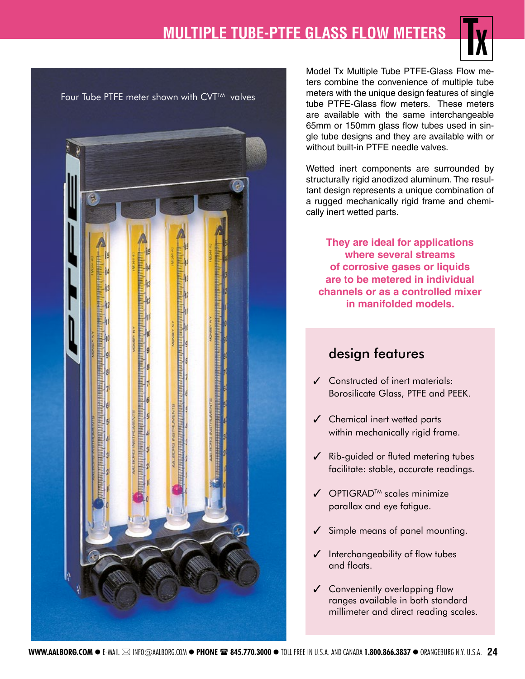# **MULTIPLE TUBE-PTFE GLASS FLOW METERS**





Model Tx Multiple Tube PTFE-Glass Flow meters combine the convenience of multiple tube meters with the unique design features of single tube PTFE-Glass flow meters. These meters are available with the same interchangeable 65mm or 150mm glass flow tubes used in single tube designs and they are available with or without built-in PTFE needle valves.

Wetted inert components are surrounded by structurally rigid anodized aluminum. The resultant design represents a unique combination of a rugged mechanically rigid frame and chemically inert wetted parts.

**They are ideal for applications where several streams of corrosive gases or liquids are to be metered in individual channels or as a controlled mixer in manifolded models.**

# design features

- ✓ Constructed of inert materials: Borosilicate Glass, PTFE and PEEK.
- ✓ Chemical inert wetted parts within mechanically rigid frame.
- $\angle$  Rib-guided or fluted metering tubes facilitate: stable, accurate readings.
- $\angle$  OPTIGRAD<sup>TM</sup> scales minimize parallax and eye fatigue.
- Simple means of panel mounting.
- ✓ Interchangeability of flow tubes and floats.
- $\checkmark$  Conveniently overlapping flow ranges available in both standard millimeter and direct reading scales.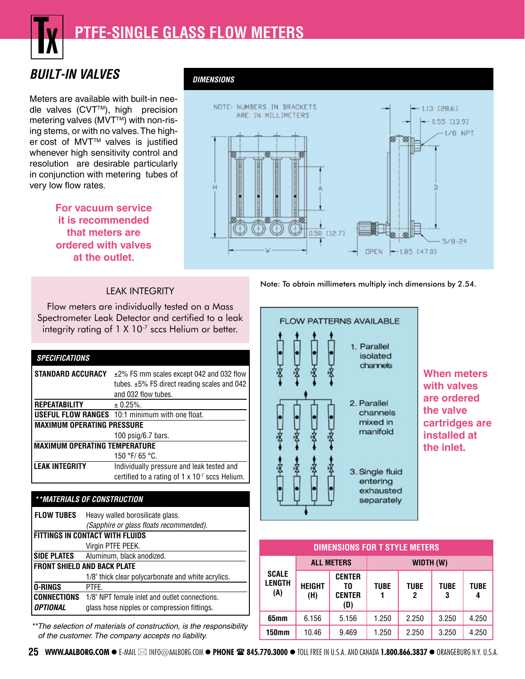

**DIMENSIONS**

# **BUILT-IN VALVES**

Meters are available with built-in needle valves (CVT™), high precision metering valves (MVT<sup>TM</sup>) with non-rising stems, or with no valves. The higher cost of MVT™ valves is justified whenever high sensitivity control and resolution are desirable particularly in conjunction with metering tubes of very low flow rates.

### **For vacuum service it is recommended that meters are ordered with valves at the outlet.**





### LEAK INTEGRITY

Flow meters are individually tested on a Mass Spectrometer Leak Detector and certified to a leak integrity rating of 1 X 10<sup>-7</sup> sccs Helium or better.

| <b>SPECIFICATIONS</b>                |                                                          |  |  |  |  |
|--------------------------------------|----------------------------------------------------------|--|--|--|--|
| <b>STANDARD ACCURACY</b>             | ±2% FS mm scales except 042 and 032 flow                 |  |  |  |  |
|                                      | tubes. $\pm 5\%$ FS direct reading scales and 042        |  |  |  |  |
|                                      | and 032 flow tubes.                                      |  |  |  |  |
| <b>REPEATABILITY</b>                 | $± 0.25\%$ .                                             |  |  |  |  |
|                                      | <b>USEFUL FLOW RANGES</b> 10:1 minimum with one float.   |  |  |  |  |
| <b>MAXIMUM OPERATING PRESSURE</b>    |                                                          |  |  |  |  |
|                                      | 100 $psiq/6.7$ bars.                                     |  |  |  |  |
| <b>MAXIMUM OPERATING TEMPERATURE</b> |                                                          |  |  |  |  |
|                                      | 150 °F/ 65 °C.                                           |  |  |  |  |
| <b>LEAK INTEGRITY</b>                | Individually pressure and leak tested and                |  |  |  |  |
|                                      | certified to a rating of $1 \times 10^{-7}$ sccs Helium. |  |  |  |  |
|                                      |                                                          |  |  |  |  |

#### **\*\*MATERIALS OF CONSTRUCTION**

| <b>FLOW TUBES</b>                      | Heavy walled borosilicate glass.                   |  |  |  |  |
|----------------------------------------|----------------------------------------------------|--|--|--|--|
|                                        | (Sapphire or glass floats recommended).            |  |  |  |  |
| <b>FITTINGS IN CONTACT WITH FLUIDS</b> |                                                    |  |  |  |  |
|                                        | Virgin PTFE PEEK.                                  |  |  |  |  |
| <b>SIDE PLATES</b>                     | Aluminum, black anodized.                          |  |  |  |  |
| <b>FRONT SHIELD AND BACK PLATE</b>     |                                                    |  |  |  |  |
|                                        | 1/8" thick clear polycarbonate and white acrylics. |  |  |  |  |
| <b>O-RINGS</b>                         | PTFF.                                              |  |  |  |  |
| <b>CONNECTIONS</b>                     | 1/8" NPT female inlet and outlet connections.      |  |  |  |  |
| <b>OPTIONAL</b>                        | glass hose nipples or compression fittings.        |  |  |  |  |

\*\*The selection of materials of construction, is the responsibility of the customer. The company accepts no liability.



**When meters with valves are ordered the valve cartridges are installed at the inlet.**

| <b>DIMENSIONS FOR T STYLE METERS</b> |                      |                                             |             |                  |                  |             |  |  |  |
|--------------------------------------|----------------------|---------------------------------------------|-------------|------------------|------------------|-------------|--|--|--|
| <b>SCALE</b><br><b>LENGTH</b><br>(A) | <b>ALL METERS</b>    |                                             | WIDTH (W)   |                  |                  |             |  |  |  |
|                                      | <b>HEIGHT</b><br>(H) | <b>CENTER</b><br>T0<br><b>CENTER</b><br>(D) | <b>TUBE</b> | <b>TUBE</b><br>2 | <b>TUBE</b><br>3 | <b>TUBE</b> |  |  |  |
| 65mm                                 | 6.156                | 5.156                                       | 1.250       | 2.250            | 3.250            | 4.250       |  |  |  |
| 150mm                                | 10.46                | 9.469                                       | 1.250       | 2.250            | 3.250            | 4.250       |  |  |  |